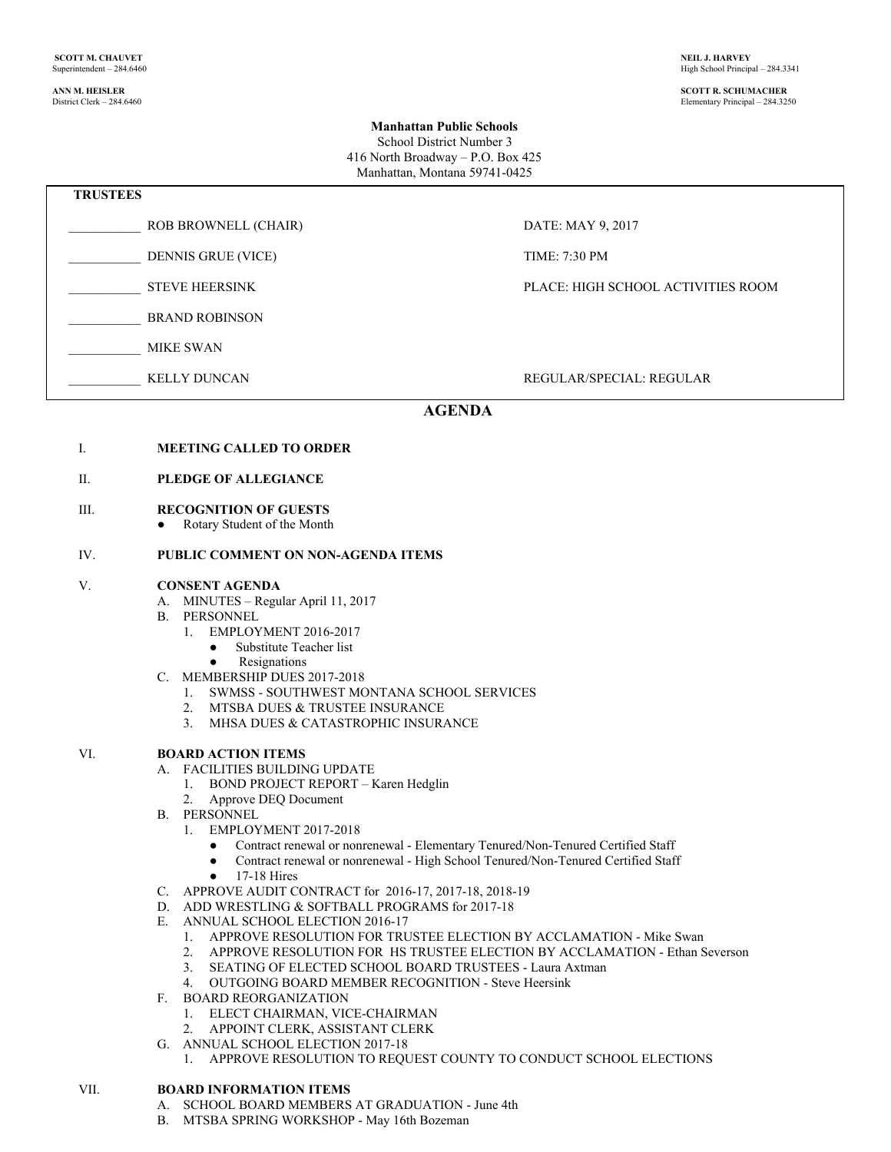# High School Principal – 284.3341

**ANN M. HEISLER SCOTT R. SCHUMACHER** Elementary Principal – 284.3250

#### **Manhattan Public Schools**

School District Number 3 416 North Broadway – P.O. Box 425 Manhattan, Montana 59741-0425

| <b>TRUSTEES</b> |                           |                                    |
|-----------------|---------------------------|------------------------------------|
|                 | ROB BROWNELL (CHAIR)      | DATE: MAY 9, 2017                  |
|                 | <b>DENNIS GRUE (VICE)</b> | <b>TIME: 7:30 PM</b>               |
|                 | <b>STEVE HEERSINK</b>     | PLACE: HIGH SCHOOL ACTIVITIES ROOM |
|                 | <b>BRAND ROBINSON</b>     |                                    |
|                 | <b>MIKE SWAN</b>          |                                    |
|                 |                           |                                    |

#### KELLY DUNCAN REGULAR/SPECIAL: REGULAR/SPECIAL: REGULAR

## **AGENDA**

|  | <b>MEETING CALLED TO ORDER</b> |  |
|--|--------------------------------|--|
|--|--------------------------------|--|

### II. **PLEDGE OF ALLEGIANCE**

#### III. **RECOGNITION OF GUESTS**

**●** Rotary Student of the Month

#### IV. **PUBLIC COMMENT ON NON-AGENDA ITEMS**

#### V. **CONSENT AGENDA**

- A. MINUTES Regular April 11, 2017
- B. PERSONNEL
	- 1. EMPLOYMENT 2016-2017
		- Substitute Teacher list
		- Resignations
- C. MEMBERSHIP DUES 2017-2018
	- 1. SWMSS SOUTHWEST MONTANA SCHOOL SERVICES 2. MTSBA DUES & TRUSTEE INSURANCE
	- MTSBA DUES & TRUSTEE INSURANCE
	- 3. MHSA DUES & CATASTROPHIC INSURANCE

#### VI. **BOARD ACTION ITEMS**

- A. FACILITIES BUILDING UPDATE
	- 1. BOND PROJECT REPORT Karen Hedglin
	- 2. Approve DEQ Document
- B. PERSONNEL
	- 1. EMPLOYMENT 2017-2018
		- Contract renewal or nonrenewal Elementary Tenured/Non-Tenured Certified Staff
		- Contract renewal or nonrenewal High School Tenured/Non-Tenured Certified Staff
		- 17-18 Hires
- C. APPROVE AUDIT CONTRACT for 2016-17, 2017-18, 2018-19
- D. ADD WRESTLING & SOFTBALL PROGRAMS for 2017-18
- E. ANNUAL SCHOOL ELECTION 2016-17
	- 1. APPROVE RESOLUTION FOR TRUSTEE ELECTION BY ACCLAMATION Mike Swan
	- 2. APPROVE RESOLUTION FOR HS TRUSTEE ELECTION BY ACCLAMATION Ethan Severson
	- 3. SEATING OF ELECTED SCHOOL BOARD TRUSTEES Laura Axtman
	- 4. OUTGOING BOARD MEMBER RECOGNITION Steve Heersink
- F. BOARD REORGANIZATION
	- 1. ELECT CHAIRMAN, VICE-CHAIRMAN
	- 2. APPOINT CLERK, ASSISTANT CLERK
- G. ANNUAL SCHOOL ELECTION 2017-18
	- 1. APPROVE RESOLUTION TO REQUEST COUNTY TO CONDUCT SCHOOL ELECTIONS

#### VII. **BOARD INFORMATION ITEMS**

- A. SCHOOL BOARD MEMBERS AT GRADUATION June 4th
- B. MTSBA SPRING WORKSHOP May 16th Bozeman